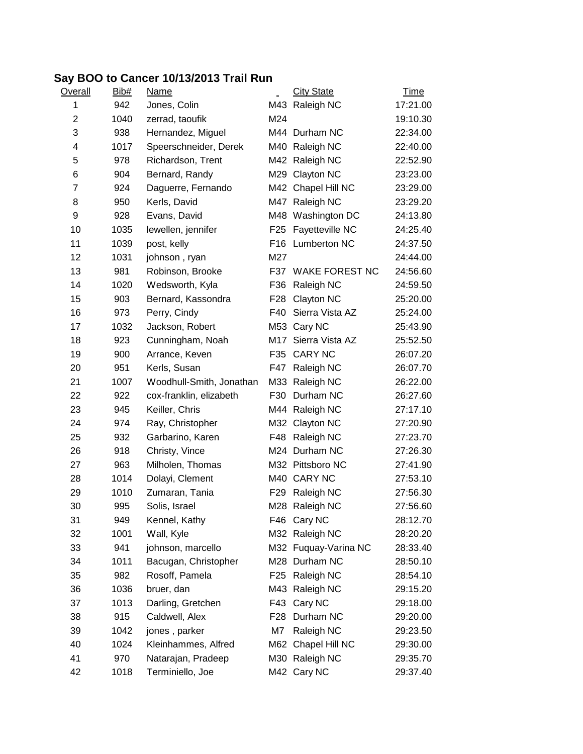## **Say BOO to Cancer 10/13/2013 Trail Run**

| <b>Overall</b> | Bib# | <b>Name</b>              |                 | <b>City State</b>     | <u>Time</u> |
|----------------|------|--------------------------|-----------------|-----------------------|-------------|
| 1              | 942  | Jones, Colin             |                 | M43 Raleigh NC        | 17:21.00    |
| $\overline{2}$ | 1040 | zerrad, taoufik          | M24             |                       | 19:10.30    |
| 3              | 938  | Hernandez, Miguel        |                 | M44 Durham NC         | 22:34.00    |
| 4              | 1017 | Speerschneider, Derek    | M40             | Raleigh NC            | 22:40.00    |
| 5              | 978  | Richardson, Trent        |                 | M42 Raleigh NC        | 22:52.90    |
| 6              | 904  | Bernard, Randy           | M29             | Clayton NC            | 23:23.00    |
| 7              | 924  | Daguerre, Fernando       |                 | M42 Chapel Hill NC    | 23:29.00    |
| 8              | 950  | Kerls, David             | M47             | Raleigh NC            | 23:29.20    |
| 9              | 928  | Evans, David             | M48             | Washington DC         | 24:13.80    |
| 10             | 1035 | lewellen, jennifer       | F <sub>25</sub> | Fayetteville NC       | 24:25.40    |
| 11             | 1039 | post, kelly              | F <sub>16</sub> | Lumberton NC          | 24:37.50    |
| 12             | 1031 | johnson, ryan            | M27             |                       | 24:44.00    |
| 13             | 981  | Robinson, Brooke         | F37             | <b>WAKE FOREST NC</b> | 24:56.60    |
| 14             | 1020 | Wedsworth, Kyla          | F36             | Raleigh NC            | 24:59.50    |
| 15             | 903  | Bernard, Kassondra       | F <sub>28</sub> | Clayton NC            | 25:20.00    |
| 16             | 973  | Perry, Cindy             | F40             | Sierra Vista AZ       | 25:24.00    |
| 17             | 1032 | Jackson, Robert          |                 | M53 Cary NC           | 25:43.90    |
| 18             | 923  | Cunningham, Noah         | M17             | Sierra Vista AZ       | 25:52.50    |
| 19             | 900  | Arrance, Keven           | F35             | <b>CARY NC</b>        | 26:07.20    |
| 20             | 951  | Kerls, Susan             | F47             | Raleigh NC            | 26:07.70    |
| 21             | 1007 | Woodhull-Smith, Jonathan | M33             | Raleigh NC            | 26:22.00    |
| 22             | 922  | cox-franklin, elizabeth  | F30             | Durham NC             | 26:27.60    |
| 23             | 945  | Keiller, Chris           | M44             | Raleigh NC            | 27:17.10    |
| 24             | 974  | Ray, Christopher         |                 | M32 Clayton NC        | 27:20.90    |
| 25             | 932  | Garbarino, Karen         | F48             | Raleigh NC            | 27:23.70    |
| 26             | 918  | Christy, Vince           |                 | M24 Durham NC         | 27:26.30    |
| 27             | 963  | Milholen, Thomas         |                 | M32 Pittsboro NC      | 27:41.90    |
| 28             | 1014 | Dolayi, Clement          |                 | M40 CARY NC           | 27:53.10    |
| 29             | 1010 | Zumaran, Tania           | F <sub>29</sub> | Raleigh NC            | 27:56.30    |
| 30             | 995  | Solis, Israel            |                 | M28 Raleigh NC        | 27:56.60    |
| 31             | 949  | Kennel, Kathy            |                 | F46 Cary NC           | 28:12.70    |
| 32             | 1001 | Wall, Kyle               |                 | M32 Raleigh NC        | 28:20.20    |
| 33             | 941  | johnson, marcello        |                 | M32 Fuquay-Varina NC  | 28:33.40    |
| 34             | 1011 | Bacugan, Christopher     |                 | M28 Durham NC         | 28:50.10    |
| 35             | 982  | Rosoff, Pamela           | F <sub>25</sub> | Raleigh NC            | 28:54.10    |
| 36             | 1036 | bruer, dan               | M43             | Raleigh NC            | 29:15.20    |
| 37             | 1013 | Darling, Gretchen        | F43             | Cary NC               | 29:18.00    |
| 38             | 915  | Caldwell, Alex           | F <sub>28</sub> | Durham NC             | 29:20.00    |
| 39             | 1042 | jones, parker            | M7              | Raleigh NC            | 29:23.50    |
| 40             | 1024 | Kleinhammes, Alfred      | M62             | Chapel Hill NC        | 29:30.00    |
| 41             | 970  | Natarajan, Pradeep       |                 | M30 Raleigh NC        | 29:35.70    |
| 42             | 1018 | Terminiello, Joe         |                 | M42 Cary NC           | 29:37.40    |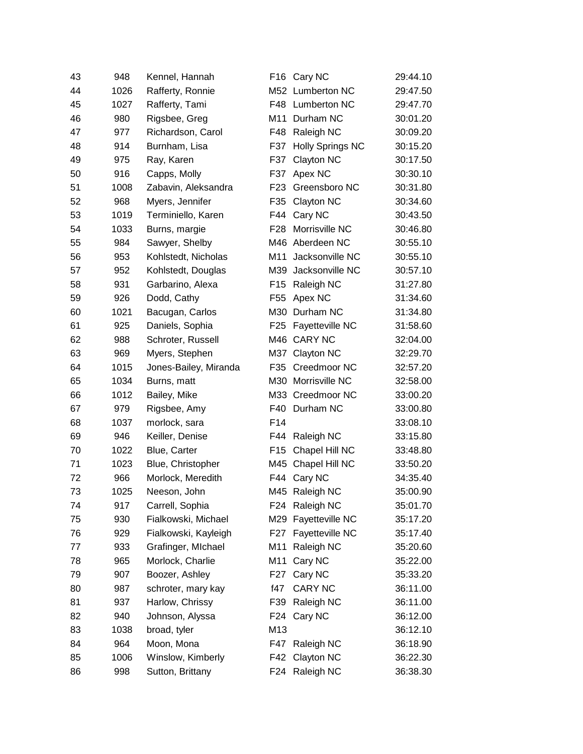| 43 | 948  | Kennel, Hannah        | F <sub>16</sub> | Cary NC                 | 29:44.10 |
|----|------|-----------------------|-----------------|-------------------------|----------|
| 44 | 1026 | Rafferty, Ronnie      |                 | M52 Lumberton NC        | 29:47.50 |
| 45 | 1027 | Rafferty, Tami        | F48             | <b>Lumberton NC</b>     | 29:47.70 |
| 46 | 980  | Rigsbee, Greg         | M11             | Durham NC               | 30:01.20 |
| 47 | 977  | Richardson, Carol     | F48             | Raleigh NC              | 30:09.20 |
| 48 | 914  | Burnham, Lisa         | F37             | <b>Holly Springs NC</b> | 30:15.20 |
| 49 | 975  | Ray, Karen            | F37             | Clayton NC              | 30:17.50 |
| 50 | 916  | Capps, Molly          | F37             | Apex NC                 | 30:30.10 |
| 51 | 1008 | Zabavin, Aleksandra   | F <sub>23</sub> | Greensboro NC           | 30:31.80 |
| 52 | 968  | Myers, Jennifer       | F35             | Clayton NC              | 30:34.60 |
| 53 | 1019 | Terminiello, Karen    | F44             | Cary NC                 | 30:43.50 |
| 54 | 1033 | Burns, margie         | F <sub>28</sub> | Morrisville NC          | 30:46.80 |
| 55 | 984  | Sawyer, Shelby        |                 | M46 Aberdeen NC         | 30:55.10 |
| 56 | 953  | Kohlstedt, Nicholas   | M11             | Jacksonville NC         | 30:55.10 |
| 57 | 952  | Kohlstedt, Douglas    | M39             | Jacksonville NC         | 30:57.10 |
| 58 | 931  | Garbarino, Alexa      | F <sub>15</sub> | Raleigh NC              | 31:27.80 |
| 59 | 926  | Dodd, Cathy           | F <sub>55</sub> | Apex NC                 | 31:34.60 |
| 60 | 1021 | Bacugan, Carlos       | M30             | Durham NC               | 31:34.80 |
| 61 | 925  | Daniels, Sophia       | F <sub>25</sub> | Fayetteville NC         | 31:58.60 |
| 62 | 988  | Schroter, Russell     |                 | M46 CARY NC             | 32:04.00 |
| 63 | 969  | Myers, Stephen        | M37             | Clayton NC              | 32:29.70 |
| 64 | 1015 | Jones-Bailey, Miranda | F35             | Creedmoor NC            | 32:57.20 |
| 65 | 1034 | Burns, matt           |                 | M30 Morrisville NC      | 32:58.00 |
| 66 | 1012 | Bailey, Mike          |                 | M33 Creedmoor NC        | 33:00.20 |
| 67 | 979  | Rigsbee, Amy          | F40             | Durham NC               | 33:00.80 |
| 68 | 1037 | morlock, sara         | F14             |                         | 33:08.10 |
| 69 | 946  | Keiller, Denise       | F44             | Raleigh NC              | 33:15.80 |
| 70 | 1022 | Blue, Carter          | F <sub>15</sub> | Chapel Hill NC          | 33:48.80 |
| 71 | 1023 | Blue, Christopher     |                 | M45 Chapel Hill NC      | 33:50.20 |
| 72 | 966  | Morlock, Meredith     | F44             | Cary NC                 | 34:35.40 |
| 73 | 1025 | Neeson, John          |                 | M45 Raleigh NC          | 35:00.90 |
| 74 | 917  | Carrell, Sophia       |                 | F24 Raleigh NC          | 35:01.70 |
| 75 | 930  | Fialkowski, Michael   | M29             | Fayetteville NC         | 35:17.20 |
| 76 | 929  | Fialkowski, Kayleigh  | F27             | Fayetteville NC         | 35:17.40 |
| 77 | 933  | Grafinger, MIchael    | M11             | Raleigh NC              | 35:20.60 |
| 78 | 965  | Morlock, Charlie      | M11             | Cary NC                 | 35:22.00 |
| 79 | 907  | Boozer, Ashley        | F <sub>27</sub> | Cary NC                 | 35:33.20 |
| 80 | 987  | schroter, mary kay    | f47             | CARY NC                 | 36:11.00 |
| 81 | 937  | Harlow, Chrissy       | F39             | Raleigh NC              | 36:11.00 |
| 82 | 940  | Johnson, Alyssa       | F24             | Cary NC                 | 36:12.00 |
| 83 | 1038 | broad, tyler          | M13             |                         | 36:12.10 |
| 84 | 964  | Moon, Mona            | F47             | Raleigh NC              | 36:18.90 |
| 85 | 1006 | Winslow, Kimberly     | F42             | Clayton NC              | 36:22.30 |
| 86 | 998  | Sutton, Brittany      |                 | F24 Raleigh NC          | 36:38.30 |